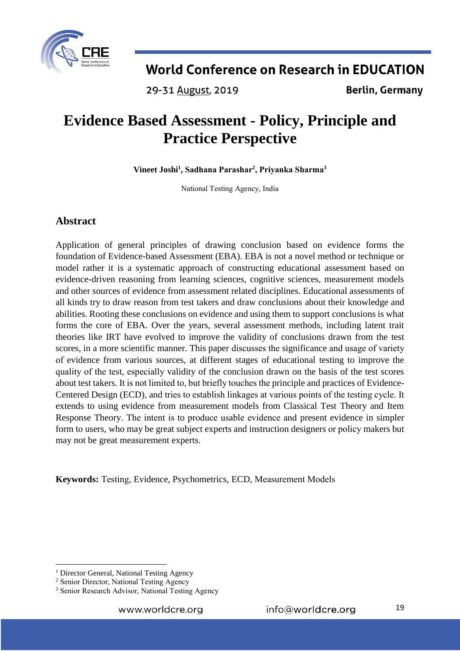

29-31 August, 2019

**Berlin, Germany** 

# **Evidence Based Assessment - Policy, Principle and Practice Perspective**

**Vineet Joshi<sup>1</sup> , Sadhana Parashar<sup>2</sup> , Priyanka Sharma<sup>3</sup>**

National Testing Agency, India

## **Abstract**

Application of general principles of drawing conclusion based on evidence forms the foundation of Evidence-based Assessment (EBA). EBA is not a novel method or technique or model rather it is a systematic approach of constructing educational assessment based on evidence-driven reasoning from learning sciences, cognitive sciences, measurement models and other sources of evidence from assessment related disciplines. Educational assessments of all kinds try to draw reason from test takers and draw conclusions about their knowledge and abilities. Rooting these conclusions on evidence and using them to support conclusions is what forms the core of EBA. Over the years, several assessment methods, including latent trait theories like IRT have evolved to improve the validity of conclusions drawn from the test scores, in a more scientific manner. This paper discusses the significance and usage of variety of evidence from various sources, at different stages of educational testing to improve the quality of the test, especially validity of the conclusion drawn on the basis of the test scores about test takers. It is not limited to, but briefly touches the principle and practices of Evidence-Centered Design (ECD), and tries to establish linkages at various points of the testing cycle. It extends to using evidence from measurement models from Classical Test Theory and Item Response Theory. The intent is to produce usable evidence and present evidence in simpler form to users, who may be great subject experts and instruction designers or policy makers but may not be great measurement experts.

**Keywords:** Testing, Evidence, Psychometrics, ECD, Measurement Models

<sup>1</sup> <sup>1</sup> Director General, National Testing Agency

<sup>&</sup>lt;sup>2</sup> Senior Director, National Testing Agency

<sup>&</sup>lt;sup>3</sup> Senior Research Advisor, National Testing Agency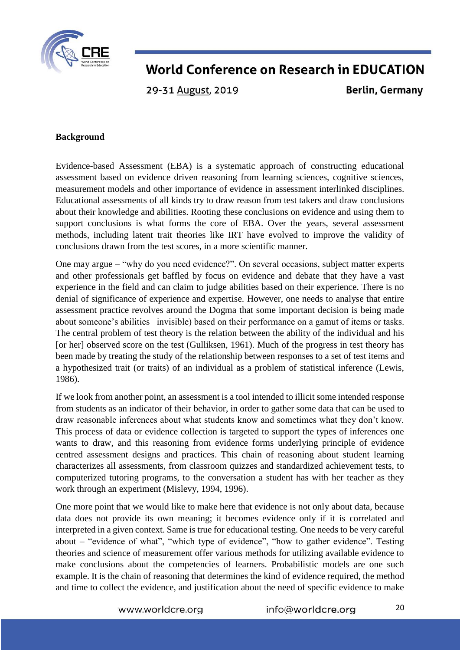

29-31 August, 2019

**Berlin, Germany** 

### **Background**

Evidence-based Assessment (EBA) is a systematic approach of constructing educational assessment based on evidence driven reasoning from learning sciences, cognitive sciences, measurement models and other importance of evidence in assessment interlinked disciplines. Educational assessments of all kinds try to draw reason from test takers and draw conclusions about their knowledge and abilities. Rooting these conclusions on evidence and using them to support conclusions is what forms the core of EBA. Over the years, several assessment methods, including latent trait theories like IRT have evolved to improve the validity of conclusions drawn from the test scores, in a more scientific manner.

One may argue – "why do you need evidence?". On several occasions, subject matter experts and other professionals get baffled by focus on evidence and debate that they have a vast experience in the field and can claim to judge abilities based on their experience. There is no denial of significance of experience and expertise. However, one needs to analyse that entire assessment practice revolves around the Dogma that some important decision is being made about someone's abilities invisible) based on their performance on a gamut of items or tasks. The central problem of test theory is the relation between the ability of the individual and his [or her] observed score on the test (Gulliksen, 1961). Much of the progress in test theory has been made by treating the study of the relationship between responses to a set of test items and a hypothesized trait (or traits) of an individual as a problem of statistical inference (Lewis, 1986).

If we look from another point, an assessment is a tool intended to illicit some intended response from students as an indicator of their behavior, in order to gather some data that can be used to draw reasonable inferences about what students know and sometimes what they don't know. This process of data or evidence collection is targeted to support the types of inferences one wants to draw, and this reasoning from evidence forms underlying principle of evidence centred assessment designs and practices. This chain of reasoning about student learning characterizes all assessments, from classroom quizzes and standardized achievement tests, to computerized tutoring programs, to the conversation a student has with her teacher as they work through an experiment (Mislevy, 1994, 1996).

One more point that we would like to make here that evidence is not only about data, because data does not provide its own meaning; it becomes evidence only if it is correlated and interpreted in a given context. Same is true for educational testing. One needs to be very careful about – "evidence of what", "which type of evidence", "how to gather evidence". Testing theories and science of measurement offer various methods for utilizing available evidence to make conclusions about the competencies of learners. Probabilistic models are one such example. It is the chain of reasoning that determines the kind of evidence required, the method and time to collect the evidence, and justification about the need of specific evidence to make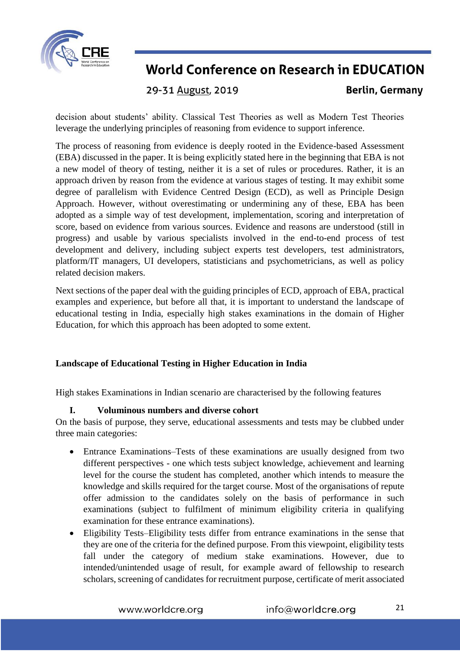

29-31 August, 2019

**Berlin, Germany** 

decision about students' ability. Classical Test Theories as well as Modern Test Theories leverage the underlying principles of reasoning from evidence to support inference.

The process of reasoning from evidence is deeply rooted in the Evidence-based Assessment (EBA) discussed in the paper. It is being explicitly stated here in the beginning that EBA is not a new model of theory of testing, neither it is a set of rules or procedures. Rather, it is an approach driven by reason from the evidence at various stages of testing. It may exhibit some degree of parallelism with Evidence Centred Design (ECD), as well as Principle Design Approach. However, without overestimating or undermining any of these, EBA has been adopted as a simple way of test development, implementation, scoring and interpretation of score, based on evidence from various sources. Evidence and reasons are understood (still in progress) and usable by various specialists involved in the end-to-end process of test development and delivery, including subject experts test developers, test administrators, platform/IT managers, UI developers, statisticians and psychometricians, as well as policy related decision makers.

Next sections of the paper deal with the guiding principles of ECD, approach of EBA, practical examples and experience, but before all that, it is important to understand the landscape of educational testing in India, especially high stakes examinations in the domain of Higher Education, for which this approach has been adopted to some extent.

### **Landscape of Educational Testing in Higher Education in India**

High stakes Examinations in Indian scenario are characterised by the following features

### **I. Voluminous numbers and diverse cohort**

On the basis of purpose, they serve, educational assessments and tests may be clubbed under three main categories:

- Entrance Examinations–Tests of these examinations are usually designed from two different perspectives - one which tests subject knowledge, achievement and learning level for the course the student has completed, another which intends to measure the knowledge and skills required for the target course. Most of the organisations of repute offer admission to the candidates solely on the basis of performance in such examinations (subject to fulfilment of minimum eligibility criteria in qualifying examination for these entrance examinations).
- Eligibility Tests–Eligibility tests differ from entrance examinations in the sense that they are one of the criteria for the defined purpose. From this viewpoint, eligibility tests fall under the category of medium stake examinations. However, due to intended/unintended usage of result, for example award of fellowship to research scholars, screening of candidates for recruitment purpose, certificate of merit associated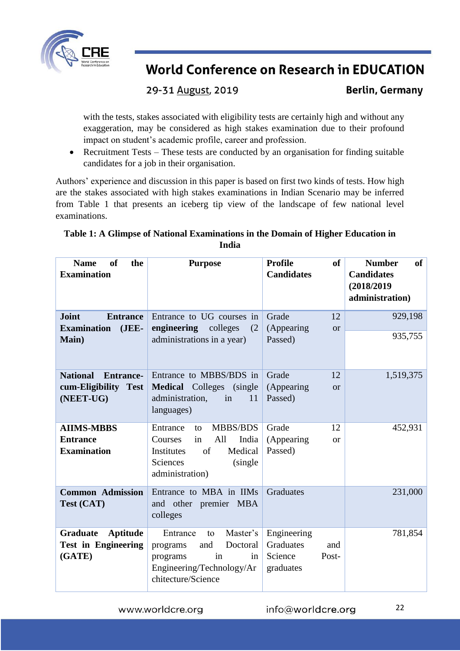

## 29-31 August, 2019

**Berlin, Germany** 

with the tests, stakes associated with eligibility tests are certainly high and without any exaggeration, may be considered as high stakes examination due to their profound impact on student's academic profile, career and profession.

• Recruitment Tests – These tests are conducted by an organisation for finding suitable candidates for a job in their organisation.

Authors' experience and discussion in this paper is based on first two kinds of tests. How high are the stakes associated with high stakes examinations in Indian Scenario may be inferred from Table 1 that presents an iceberg tip view of the landscape of few national level examinations.

### **Table 1: A Glimpse of National Examinations in the Domain of Higher Education in India**

| <sub>of</sub><br><b>Name</b><br>the<br><b>Examination</b>       | <b>Purpose</b>                                                                                                                       | <b>of</b><br><b>Profile</b><br><b>Candidates</b>                 | <b>Number</b><br><b>of</b><br><b>Candidates</b><br>(2018/2019<br>administration) |
|-----------------------------------------------------------------|--------------------------------------------------------------------------------------------------------------------------------------|------------------------------------------------------------------|----------------------------------------------------------------------------------|
| <b>Joint</b><br><b>Entrance</b><br>$JEE-$<br><b>Examination</b> | Entrance to UG courses in<br>engineering<br>colleges<br>(2)                                                                          | Grade<br>12<br>(Appearing<br>or                                  | 929,198                                                                          |
| <b>Main</b> )                                                   | administrations in a year)                                                                                                           | Passed)                                                          | 935,755                                                                          |
| <b>National</b><br><b>Entrance-</b>                             | Entrance to MBBS/BDS in                                                                                                              | 12<br>Grade                                                      | 1,519,375                                                                        |
| cum-Eligibility Test<br>(NEET-UG)                               | <b>Medical</b> Colleges (single<br>administration,<br>in<br>11<br>languages)                                                         | (Appearing<br><b>or</b><br>Passed)                               |                                                                                  |
| <b>AIIMS-MBBS</b>                                               | <b>MBBS/BDS</b><br>Entrance<br>to                                                                                                    | Grade<br>12                                                      | 452,931                                                                          |
| <b>Entrance</b><br><b>Examination</b>                           | All<br>India<br>Courses<br>in<br>of<br>Medical<br>Institutes<br>Sciences<br>(single)<br>administration)                              | (Appearing<br><b>or</b><br>Passed)                               |                                                                                  |
| <b>Common Admission</b><br>Test (CAT)                           | Entrance to MBA in IIMs<br>and other premier MBA<br>colleges                                                                         | Graduates                                                        | 231,000                                                                          |
| Aptitude<br>Graduate<br><b>Test in Engineering</b><br>(GATE)    | Master's<br>Entrance<br>to<br>and<br>Doctoral<br>programs<br>programs<br>in<br>in<br>Engineering/Technology/Ar<br>chitecture/Science | Engineering<br>Graduates<br>and<br>Science<br>Post-<br>graduates | 781,854                                                                          |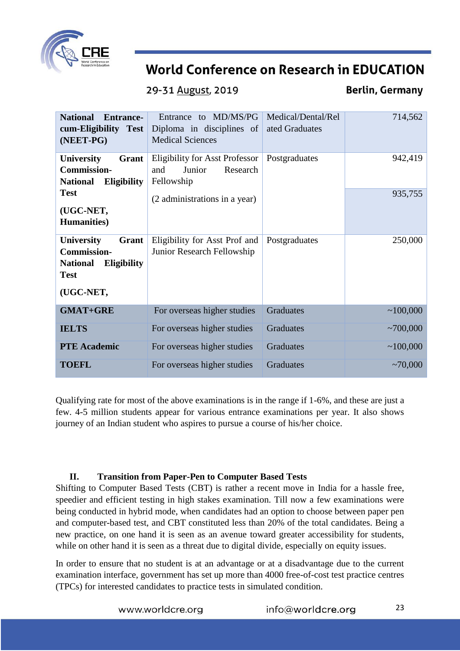

29-31 August, 2019

**Berlin, Germany** 

| <b>National</b><br><b>Entrance-</b><br>cum-Eligibility Test<br>(NEET-PG)                                | to MD/MS/PG<br>Entrance<br>Diploma in disciplines of<br><b>Medical Sciences</b>  | Medical/Dental/Rel<br>ated Graduates | 714,562       |
|---------------------------------------------------------------------------------------------------------|----------------------------------------------------------------------------------|--------------------------------------|---------------|
| <b>University</b><br>Grant<br><b>Commission-</b><br><b>National</b><br><b>Eligibility</b>               | <b>Eligibility for Asst Professor</b><br>Research<br>and<br>Junior<br>Fellowship | Postgraduates                        | 942,419       |
| <b>Test</b><br>(UGC-NET,<br><b>Humanities</b> )                                                         | (2 administrations in a year)                                                    |                                      | 935,755       |
| University<br>Grant<br><b>Commission-</b><br><b>National</b><br>Eligibility<br><b>Test</b><br>(UGC-NET, | Eligibility for Asst Prof and<br>Junior Research Fellowship                      | Postgraduates                        | 250,000       |
| <b>GMAT+GRE</b>                                                                                         | For overseas higher studies                                                      | <b>Graduates</b>                     | ~100,000      |
| <b>IELTS</b>                                                                                            | For overseas higher studies                                                      | Graduates                            | ~100,000      |
| <b>PTE</b> Academic                                                                                     | For overseas higher studies                                                      | Graduates                            | ~100,000      |
| <b>TOEFL</b>                                                                                            | For overseas higher studies                                                      | Graduates                            | $\sim 70,000$ |

Qualifying rate for most of the above examinations is in the range if 1-6%, and these are just a few. 4-5 million students appear for various entrance examinations per year. It also shows journey of an Indian student who aspires to pursue a course of his/her choice.

### **II. Transition from Paper-Pen to Computer Based Tests**

Shifting to Computer Based Tests (CBT) is rather a recent move in India for a hassle free, speedier and efficient testing in high stakes examination. Till now a few examinations were being conducted in hybrid mode, when candidates had an option to choose between paper pen and computer-based test, and CBT constituted less than 20% of the total candidates. Being a new practice, on one hand it is seen as an avenue toward greater accessibility for students, while on other hand it is seen as a threat due to digital divide, especially on equity issues.

In order to ensure that no student is at an advantage or at a disadvantage due to the current examination interface, government has set up more than 4000 free-of-cost test practice centres (TPCs) for interested candidates to practice tests in simulated condition.

| www.worldcre.org | info@worldcre.org |
|------------------|-------------------|
|------------------|-------------------|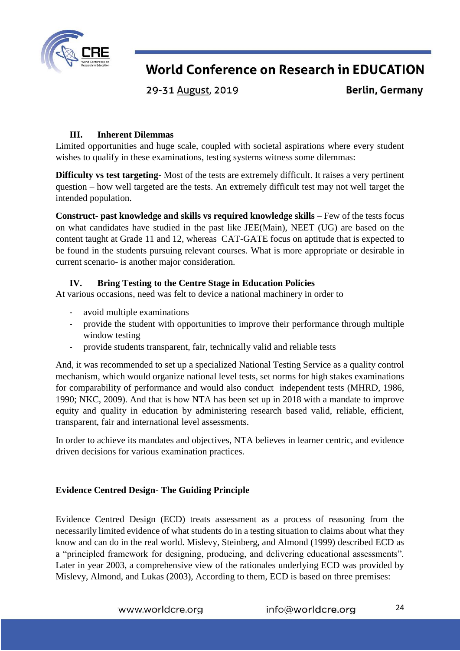

29-31 August, 2019

**Berlin, Germany** 

### **III. Inherent Dilemmas**

Limited opportunities and huge scale, coupled with societal aspirations where every student wishes to qualify in these examinations, testing systems witness some dilemmas:

**Difficulty vs test targeting-** Most of the tests are extremely difficult. It raises a very pertinent question – how well targeted are the tests. An extremely difficult test may not well target the intended population.

**Construct- past knowledge and skills vs required knowledge skills –** Few of the tests focus on what candidates have studied in the past like JEE(Main), NEET (UG) are based on the content taught at Grade 11 and 12, whereas CAT-GATE focus on aptitude that is expected to be found in the students pursuing relevant courses. What is more appropriate or desirable in current scenario- is another major consideration.

### **IV. Bring Testing to the Centre Stage in Education Policies**

At various occasions, need was felt to device a national machinery in order to

- avoid multiple examinations
- provide the student with opportunities to improve their performance through multiple window testing
- provide students transparent, fair, technically valid and reliable tests

And, it was recommended to set up a specialized National Testing Service as a quality control mechanism, which would organize national level tests, set norms for high stakes examinations for comparability of performance and would also conduct independent tests (MHRD, 1986, 1990; NKC, 2009). And that is how NTA has been set up in 2018 with a mandate to improve equity and quality in education by administering research based valid, reliable, efficient, transparent, fair and international level assessments.

In order to achieve its mandates and objectives, NTA believes in learner centric, and evidence driven decisions for various examination practices.

#### **Evidence Centred Design- The Guiding Principle**

Evidence Centred Design (ECD) treats assessment as a process of reasoning from the necessarily limited evidence of what students do in a testing situation to claims about what they know and can do in the real world. Mislevy, Steinberg, and Almond (1999) described ECD as a "principled framework for designing, producing, and delivering educational assessments". Later in year 2003, a comprehensive view of the rationales underlying ECD was provided by Mislevy, Almond, and Lukas (2003), According to them, ECD is based on three premises: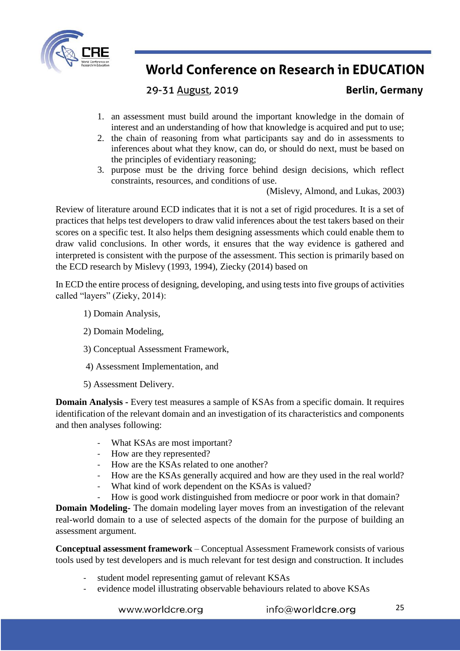

29-31 August, 2019

**Berlin, Germany** 

- 1. an assessment must build around the important knowledge in the domain of interest and an understanding of how that knowledge is acquired and put to use;
- 2. the chain of reasoning from what participants say and do in assessments to inferences about what they know, can do, or should do next, must be based on the principles of evidentiary reasoning;
- 3. purpose must be the driving force behind design decisions, which reflect constraints, resources, and conditions of use.

(Mislevy, Almond, and Lukas, 2003)

Review of literature around ECD indicates that it is not a set of rigid procedures. It is a set of practices that helps test developers to draw valid inferences about the test takers based on their scores on a specific test. It also helps them designing assessments which could enable them to draw valid conclusions. In other words, it ensures that the way evidence is gathered and interpreted is consistent with the purpose of the assessment. This section is primarily based on the ECD research by Mislevy (1993, 1994), Ziecky (2014) based on

In ECD the entire process of designing, developing, and using tests into five groups of activities called "layers" (Zieky, 2014):

- 1) Domain Analysis,
- 2) Domain Modeling,
- 3) Conceptual Assessment Framework,
- 4) Assessment Implementation, and
- 5) Assessment Delivery.

**Domain Analysis -** Every test measures a sample of KSAs from a specific domain. It requires identification of the relevant domain and an investigation of its characteristics and components and then analyses following:

- What KSAs are most important?
- How are they represented?
- How are the KSAs related to one another?
- How are the KSAs generally acquired and how are they used in the real world?
- What kind of work dependent on the KSAs is valued?
- How is good work distinguished from mediocre or poor work in that domain?

**Domain Modeling-** The domain modeling layer moves from an investigation of the relevant real-world domain to a use of selected aspects of the domain for the purpose of building an assessment argument.

**Conceptual assessment framework** – Conceptual Assessment Framework consists of various tools used by test developers and is much relevant for test design and construction. It includes

- student model representing gamut of relevant KSAs
- evidence model illustrating observable behaviours related to above KSAs

www.worldcre.org

info@worldcre.org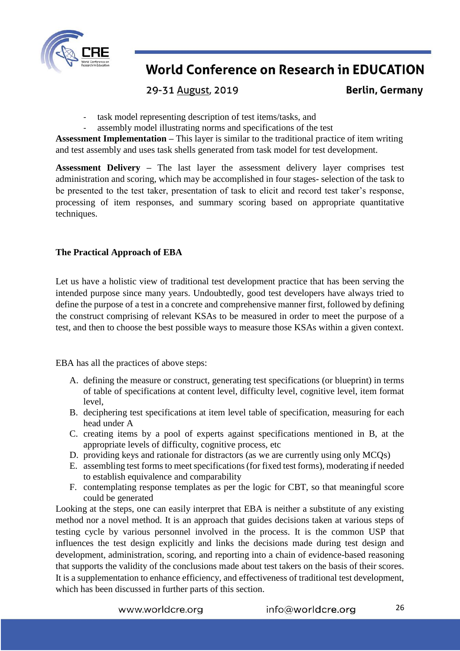

29-31 August, 2019

**Berlin, Germany** 

- task model representing description of test items/tasks, and
- assembly model illustrating norms and specifications of the test

**Assessment Implementation –** This layer is similar to the traditional practice of item writing and test assembly and uses task shells generated from task model for test development.

**Assessment Delivery –** The last layer the assessment delivery layer comprises test administration and scoring, which may be accomplished in four stages- selection of the task to be presented to the test taker, presentation of task to elicit and record test taker's response, processing of item responses, and summary scoring based on appropriate quantitative techniques.

### **The Practical Approach of EBA**

Let us have a holistic view of traditional test development practice that has been serving the intended purpose since many years. Undoubtedly, good test developers have always tried to define the purpose of a test in a concrete and comprehensive manner first, followed by defining the construct comprising of relevant KSAs to be measured in order to meet the purpose of a test, and then to choose the best possible ways to measure those KSAs within a given context.

EBA has all the practices of above steps:

- A. defining the measure or construct, generating test specifications (or blueprint) in terms of table of specifications at content level, difficulty level, cognitive level, item format level,
- B. deciphering test specifications at item level table of specification, measuring for each head under A
- C. creating items by a pool of experts against specifications mentioned in B, at the appropriate levels of difficulty, cognitive process, etc
- D. providing keys and rationale for distractors (as we are currently using only MCQs)
- E. assembling test forms to meet specifications (for fixed test forms), moderating if needed to establish equivalence and comparability
- F. contemplating response templates as per the logic for CBT, so that meaningful score could be generated

Looking at the steps, one can easily interpret that EBA is neither a substitute of any existing method nor a novel method. It is an approach that guides decisions taken at various steps of testing cycle by various personnel involved in the process. It is the common USP that influences the test design explicitly and links the decisions made during test design and development, administration, scoring, and reporting into a chain of evidence-based reasoning that supports the validity of the conclusions made about test takers on the basis of their scores. It is a supplementation to enhance efficiency, and effectiveness of traditional test development, which has been discussed in further parts of this section.

www.worldcre.org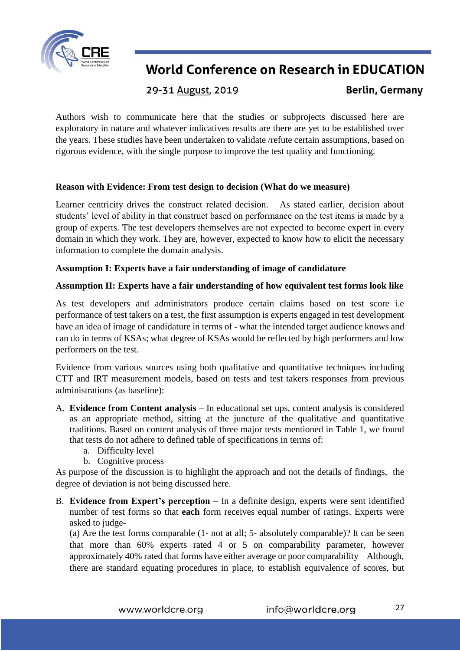

29-31 August, 2019

**Berlin, Germany** 

Authors wish to communicate here that the studies or subprojects discussed here are exploratory in nature and whatever indicatives results are there are yet to be established over the years. These studies have been undertaken to validate /refute certain assumptions, based on rigorous evidence, with the single purpose to improve the test quality and functioning.

### **Reason with Evidence: From test design to decision (What do we measure)**

Learner centricity drives the construct related decision. As stated earlier, decision about students' level of ability in that construct based on performance on the test items is made by a group of experts. The test developers themselves are not expected to become expert in every domain in which they work. They are, however, expected to know how to elicit the necessary information to complete the domain analysis.

### **Assumption I: Experts have a fair understanding of image of candidature**

### **Assumption II: Experts have a fair understanding of how equivalent test forms look like**

As test developers and administrators produce certain claims based on test score i.e performance of test takers on a test, the first assumption is experts engaged in test development have an idea of image of candidature in terms of - what the intended target audience knows and can do in terms of KSAs; what degree of KSAs would be reflected by high performers and low performers on the test.

Evidence from various sources using both qualitative and quantitative techniques including CTT and IRT measurement models, based on tests and test takers responses from previous administrations (as baseline):

- A. **Evidence from Content analysis** In educational set ups, content analysis is considered as an appropriate method, sitting at the juncture of the qualitative and quantitative traditions. Based on content analysis of three major tests mentioned in Table 1, we found that tests do not adhere to defined table of specifications in terms of:
	- a. Difficulty level
	- b. Cognitive process

As purpose of the discussion is to highlight the approach and not the details of findings, the degree of deviation is not being discussed here.

B. **Evidence from Expert's perception –** In a definite design, experts were sent identified number of test forms so that **each** form receives equal number of ratings. Experts were asked to judge-

(a) Are the test forms comparable (1- not at all; 5- absolutely comparable)? It can be seen that more than 60% experts rated 4 or 5 on comparability parameter, however approximately 40% rated that forms have either average or poor comparability Although, there are standard equating procedures in place, to establish equivalence of scores, but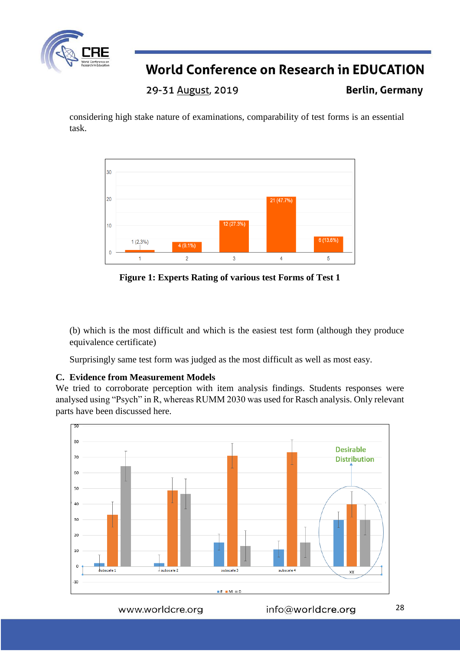

29-31 August, 2019

**Berlin, Germany** 

considering high stake nature of examinations, comparability of test forms is an essential task.



**Figure 1: Experts Rating of various test Forms of Test 1**

(b) which is the most difficult and which is the easiest test form (although they produce equivalence certificate)

Surprisingly same test form was judged as the most difficult as well as most easy.

### **C. Evidence from Measurement Models**

We tried to corroborate perception with item analysis findings. Students responses were analysed using "Psych" in R, whereas RUMM 2030 was used for Rasch analysis. Only relevant parts have been discussed here.



www.worldcre.org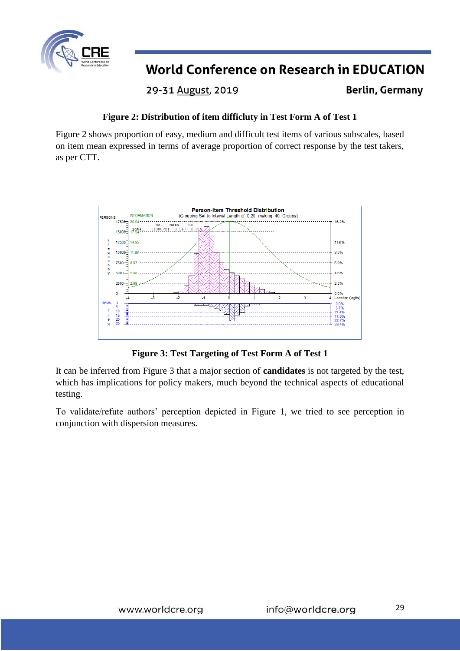

29-31 August, 2019

**Berlin, Germany** 

### **Figure 2: Distribution of item difficluty in Test Form A of Test 1**

Figure 2 shows proportion of easy, medium and difficult test items of various subscales, based on item mean expressed in terms of average proportion of correct response by the test takers, as per CTT.



**Figure 3: Test Targeting of Test Form A of Test 1**

It can be inferred from Figure 3 that a major section of **candidates** is not targeted by the test, which has implications for policy makers, much beyond the technical aspects of educational testing.

To validate/refute authors' perception depicted in Figure 1, we tried to see perception in conjunction with dispersion measures.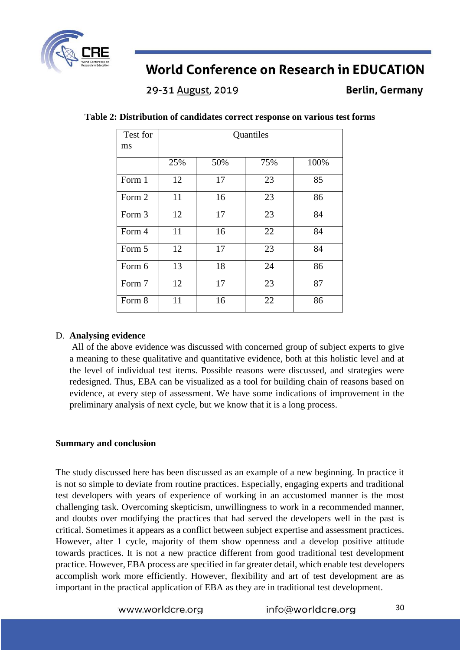

29-31 August, 2019

**Berlin, Germany** 

| Test for | Quantiles |     |     |      |  |
|----------|-----------|-----|-----|------|--|
| ms       |           |     |     |      |  |
|          | 25%       | 50% | 75% | 100% |  |
| Form 1   | 12        | 17  | 23  | 85   |  |
| Form 2   | 11        | 16  | 23  | 86   |  |
| Form 3   | 12        | 17  | 23  | 84   |  |
| Form 4   | 11        | 16  | 22  | 84   |  |
| Form 5   | 12        | 17  | 23  | 84   |  |
| Form 6   | 13        | 18  | 24  | 86   |  |
| Form 7   | 12        | 17  | 23  | 87   |  |
| Form 8   | 11        | 16  | 22  | 86   |  |

### **Table 2: Distribution of candidates correct response on various test forms**

#### D. **Analysing evidence**

All of the above evidence was discussed with concerned group of subject experts to give a meaning to these qualitative and quantitative evidence, both at this holistic level and at the level of individual test items. Possible reasons were discussed, and strategies were redesigned. Thus, EBA can be visualized as a tool for building chain of reasons based on evidence, at every step of assessment. We have some indications of improvement in the preliminary analysis of next cycle, but we know that it is a long process.

#### **Summary and conclusion**

The study discussed here has been discussed as an example of a new beginning. In practice it is not so simple to deviate from routine practices. Especially, engaging experts and traditional test developers with years of experience of working in an accustomed manner is the most challenging task. Overcoming skepticism, unwillingness to work in a recommended manner, and doubts over modifying the practices that had served the developers well in the past is critical. Sometimes it appears as a conflict between subject expertise and assessment practices. However, after 1 cycle, majority of them show openness and a develop positive attitude towards practices. It is not a new practice different from good traditional test development practice. However, EBA process are specified in far greater detail, which enable test developers accomplish work more efficiently. However, flexibility and art of test development are as important in the practical application of EBA as they are in traditional test development.

www.worldcre.org

info@worldcre.org